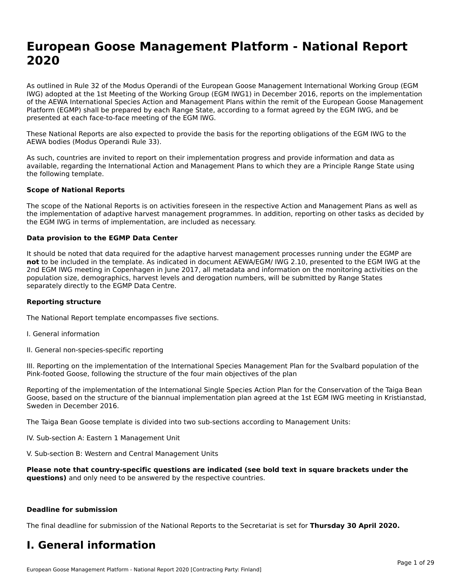# **European Goose Management Platform - National Report**European Goose Management Platform - National **Neport**<br>2020

As outlined in Rule 32 of the Modus Operandi of the European Goose Management International Working Group (EGM As buthled in Rule 32 of the Modus Operandi of the Lufopean Goose Management International Working Group (LGM<br>IWG) adopted at the 1st Meeting of the Working Group (EGM IWG1) in December 2016, reports on the implementation of the AEWA International Species Action and Management Plans within the remit of the European Goose Management Platform (EGMP) shall be prepared by each Range State, according to a format agreed by the EGM IWG, and be presented at each face-to-face meeting of the EGM IWG.

These National Reports are also expected to provide the basis for the reporting obligations of the EGM IWG to the AEWA bodies (Modus Operandi Rule 33).

As such, countries are invited to report on their implementation progress and provide information and data as<br>available, regarding the International Action and Management Plans to which they are a Principle Range State usi available, regarding the International Action and Management Plans to which they are a Principle Range State using the following template.

#### **Scope of National Reports**

The scope of the National Reports is on activities foreseen in the respective Action and Management Plans as well as The scope of the National Reports is on activities foreseen in the respective Action and Management Plans as well as<br>the implementation of adaptive harvest management programmes. In addition, reporting on other tasks as de the EGM IWG in terms of implementation, are included as necessary.

#### **Data provision to the EGMP Data Center**

It should be noted that data required for the adaptive harvest management processes running under the EGMP are **not** to be included in the template. As indicated in document AEWA/EGM/ IWG 2.10, presented to the EGM IWG at the 2nd EGM IWG meeting in Copenhagen in June 2017, all metadata and information on the monitoring activities on the population size, demographics, harvest levels and derogation numbers, will be submitted by Range States separately directly to the EGMP Data Centre.

#### **Reporting structure**

The National Report template encompasses five sections.

- I. General information
- II. General non-species-specific reporting

III. Reporting on the implementation of the International Species Management Plan for the Svalbard population of the

Reporting of the implementation of the International Single Species Action Plan for the Conservation of the Taiga Bean Reporting of the implementation of the international single species Action Fram for the conservation of the laiga beam<br>Goose, based on the structure of the biannual implementation plan agreed at the 1st EGM IWG meeting in

The Taiga Bean Goose template is divided into two sub-sections according to Management Units:

IV. Sub-section A: Eastern 1 Management Unit

V. Sub-section B: Western and Central Management Units

Please note that country-specific questions are indicated (see bold text in square brackets under the **questions)** and only need to be answered by the respective countries.

#### **Deadline for submission**

The final deadline for submission of the National Reports to the Secretariat is set for **Thursday 30 April 2020.**

#### **I. General information**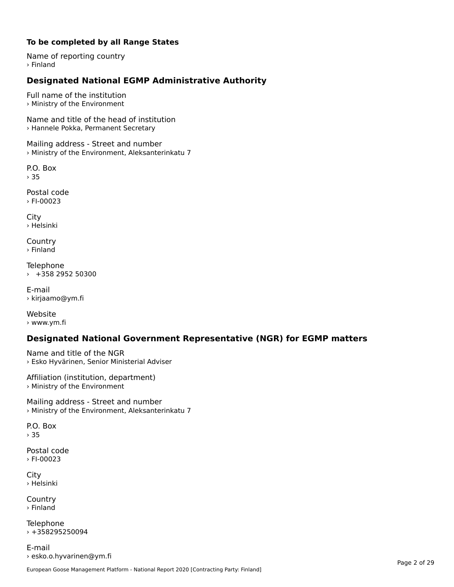#### **To be completed by all Range States**

Name of reporting country › Finland

# **Designated National EGMP Administrative Authority**

Full name of the institution› Ministry of the Environment

Name and title of the head of institution › Hannele Pokka, Permanent Secretary

Mailing address - Street and number › Ministry of the Environment, Aleksanterinkatu 7

P.O. Box › 35

Postal code› FI-00023

City › Helsinki

**Country** › Finland

Telephone › +358 2952 50300

E-mail› kirjaamo@ym.fi

Website › www.ym.fi

# **Designated National Government Representative (NGR) for EGMP matters**

Name and title of the NGR › Esko Hyvärinen, Senior Ministerial Adviser

Affiliation (institution, department) › Ministry of the Environment

Mailing address - Street and number › Ministry of the Environment, Aleksanterinkatu 7

P.O. Box › 35

Postal code› FI-00023

City › Helsinki

**Country** › Finland

Telephone  $+358295250094$ 

E-mail› esko.o.hyvarinen@ym.fi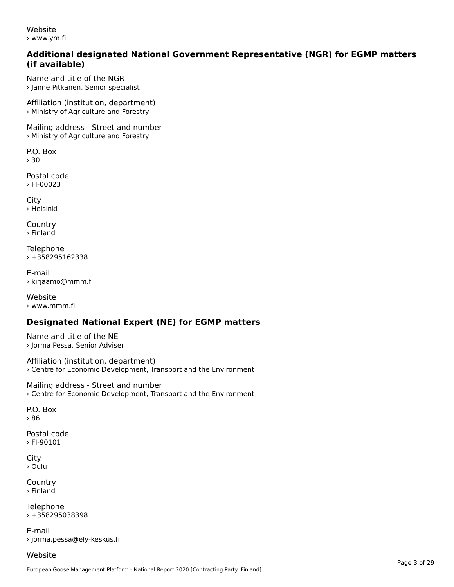Website› www.ym.fi

#### **Additional designated National Government Representative (NGR) for EGMP matters (if available)**

Name and title of the NGR› Janne Pitkänen, Senior specialist

Affiliation (institution, department) › Ministry of Agriculture and Forestry

Mailing address - Street and number › Ministry of Agriculture and Forestry

P.O. Box› 30

Postal code› FI-00023

City › Helsinki

**Country** › Finland

Telephone › +358295162338

E-mail› kirjaamo@mmm.fi

Website › www.mmm.fi

# **Designated National Expert (NE) for EGMP matters**

Name and title of the NE› Jorma Pessa, Senior Adviser

Affiliation (institution, department) › Centre for Economic Development, Transport and the Environment

Mailing address - Street and number › Centre for Economic Development, Transport and the Environment

P.O. Box› 86

Postal code› FI-90101

**City** › Oulu

**Country** › Finland

**Telephone** › +358295038398

E-mail› jorma.pessa@ely-keskus.fi

Website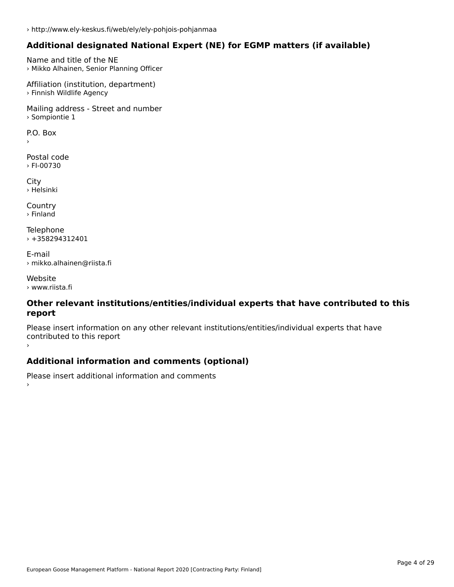# **Additional designated National Expert (NE) for EGMP matters (if available)**

Name and title of the NE › Mikko Alhainen, Senior Planning Officer

Affiliation (institution, department) › Finnish Wildlife Agency

Mailing address - Street and number › Sompiontie 1

 $\overline{P}$ ›

Postal code › FI-00730

City › Helsinki

**Country** › Finland

Telephone › +358294312401

E-mail› mikko.alhainen@riista.fi

Website› www.riista.fi

#### **Other relevant institutions/entities/individual experts that have contributed to this report**report

Please insert information on any other relevant institutions/entities/individual experts that have continuated to this report

### **Additional information and comments (optional)**

Please insert additional information and comments ›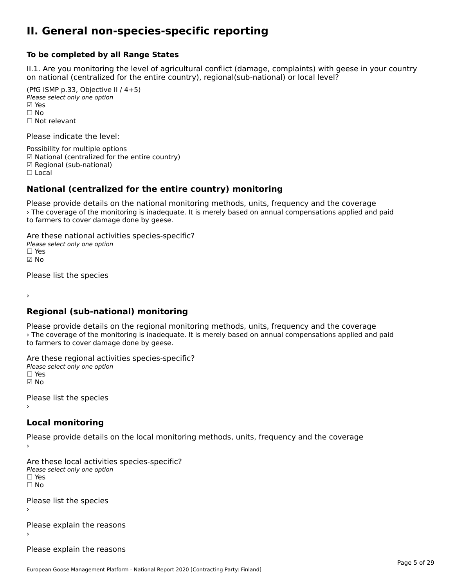#### **II. General non-species-specific reporting**

#### **To be completed by all Range States**

II.1. Are you monitoring the level of agricultural conflict (damage, complaints) with geese in your country n.i. Are you monitoring the lever or agricultural connict (damage, complaints) with g<br>on national (centralized for the entire country), regional(sub-national) or local level?

(PfG ISMP p.33, Objective II  $(4+5)$ ) Please select only one option ☑ Yes**☑ Yes**<br>□ No □ No<br>□ Not relevant

Please indicate the level:

Possibility for multiple options ™ USSIDING TO Multiple options<br>
□ National (centralized for the entire country) ☑ Regional (sub-national)

☐ Local

›

# **National (centralized for the entire country) monitoring**

Please provide details on the national monitoring methods, units, frequency and the coverage › The coverage of the monitoring is inadequate. It is merely based on annual compensations applied and paid The coverage of the monitoring is madequity.<br>to farmers to cover damage done by geese.

Are these national activities species-specific? ∩ne enese national activity<br>Please select only one option ☑ No

Please list the species

**Regional (sub-national) monitoring**

Please provide details on the regional monitoring methods, units, frequency and the coverage recase provide details on the regional momenting methods, annes, requerity and the coverage<br>> The coverage of the monitoring is inadequate. It is merely based on annual compensations applied and paid to farmers to cover damage done by geese.

Are these regional activities species-specific? ∩ne enese regional activ<br>Please select only one option ☑ No

Please list the species ›

#### **Local monitoring**

Please provide details on the local monitoring methods, units, frequency and the coverage

Are these local activities species-specific? ∩ne these local detivities<br>Please select only one option □ Yes<br>□ No

Please list the species ›

Please explain the reasons›

Please explain the reasons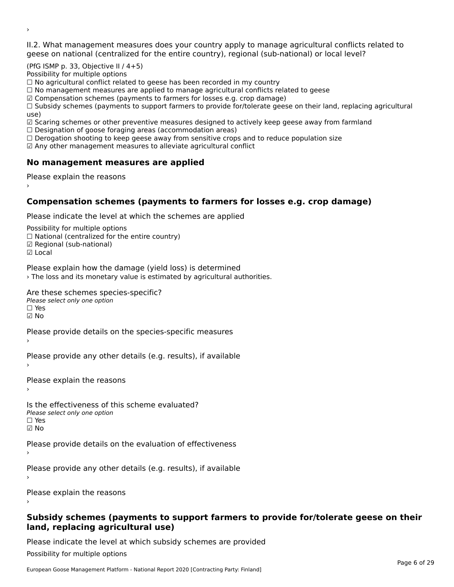II.2. What management measures does your country apply to manage agricultural conflicts related to

(PfG ISMP p. 33, Objective II / 4+5)

Possibility for multiple options

rossibility for multiple options<br>□ No agricultural conflict related to geese has been recorded in my country

 $\Box$  No management measures are applied to manage agricultural conflicts related to geese

☑ Compensation schemes (payments to farmers for losses e.g. crop damage)

© Compensation schemes (payments to familers for losses e.g. crop damage)<br>□ Subsidy schemes (payments to support farmers to provide for/tolerate geese on their land, replacing agricultural use)

use,<br>☑ Scaring schemes or other preventive measures designed to actively keep geese away from farmland

**■** Scaring scrientes of other preventive measures designed to a<br>□ Designation of goose foraging areas (accommodation areas)

□ Designation of goose foraging areas (accommodation areas)<br>□ Derogation shooting to keep geese away from sensitive crops and to reduce population size

 $\boxtimes$  Any other management measures to alleviate agricultural conflict

# **No management measures are applied**

Please explain the reasons ›

### **Compensation schemes (payments to farmers for losses e.g. crop damage)**

Please indicate the level at which the schemes are applied

Possibility for multiple options rossibility for multiple options<br>□ National (centralized for the entire country) □ Regional (centranzed to<br>☑ Regional (sub-national)

☑ Local

›

Please explain how the damage (yield loss) is determined

› The loss and its monetary value is estimated by agricultural authorities.

Are these schemes species-specific?

∩ne these senemes spee<br>Please select only one option ☑ No

Please provide details on the species-specific measures

Please provide any other details (e.g. results), if available

Please explain the reasons›

Is the effectiveness of this scheme evaluated? □ CIC CILCCLIVENC55 OF C<br>Please select only one option  $\Box$  Yes ☑ No

Please provide details on the evaluation of effectiveness

Please provide any other details (e.g. results), if available

Please explain the reasons

#### **Subsidy schemes (payments to support farmers to provide for/tolerate geese on their land, replacing agricultural use)**land, replacing agricultural use)

Please indicate the level at which subsidy schemes are provided

Possibility for multiple options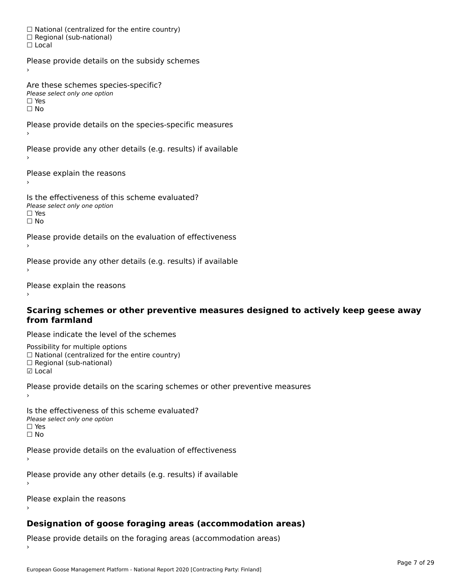☐ National (centralized for the entire country) □ National (centralized io<br>□ Regional (sub-national) ☐ Local

Please provide details on the subsidy schemes

Are these schemes species-specific? ∩ne these senemes spee<br>Please select only one option

□ Yes<br>□ No

Please provide details on the species-specific measures

Please provide any other details (e.g. results) if available

Please explain the reasons

Is the effectiveness of this scheme evaluated?Please select only one option ☐ Yesים וכ<br>⊡ No

Please provide details on the evaluation of effectiveness

Please provide any other details (e.g. results) if available

Please explain the reasons

#### **Scaring schemes or other preventive measures designed to actively keep geese away from farmland**

Please indicate the level of the schemes

Possibility for multiple options rossibility for multiple options<br>□ National (centralized for the entire country) ☐ Regional (sub-national) ☑ Local

**☑** Local

Please provide details on the scaring schemes or other preventive measures

Is the effectiveness of this scheme evaluated?□ CITC CITCCLIVERESS OF C<br>Please select only one option □ Yes<br>□ No

Please provide details on the evaluation of effectiveness

Please provide any other details (e.g. results) if available

Please explain the reasons›

# **Designation of goose foraging areas (accommodation areas)**

Please provide details on the foraging areas (accommodation areas)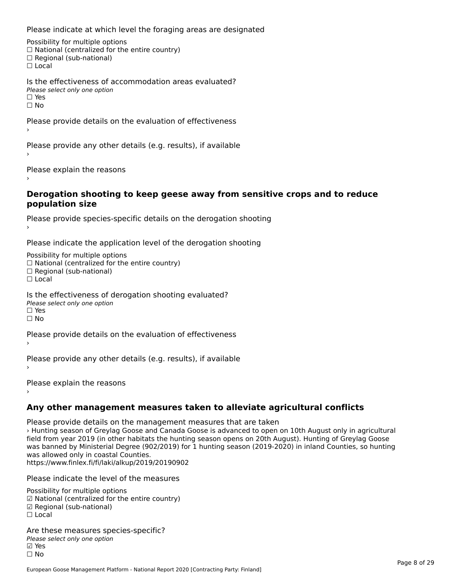Please indicate at which level the foraging areas are designated

Possibility for multiple options rossibility for multiple options<br>□ National (centralized for the entire country) □ Regional (sub-national)<br>□ Regional (sub-national)

Is the effectiveness of accommodation areas evaluated?Please select only one option ☐ Yesים וכ<br>⊡ No

Please provide details on the evaluation of effectiveness

Please provide any other details (e.g. results), if available

Please explain the reasons

#### **Derogation shooting to keep geese away from sensitive crops and to reduce population size**

Please provide species-specific details on the derogation shooting ›

Please indicate the application level of the derogation shooting

Possibility for multiple options rossibility for multiple options<br>□ National (centralized for the entire country) □ National (centralized io<br>□ Regional (sub-national) ☐ Local

Is the effectiveness of derogation shooting evaluated?

Please select only one option

☐ Yesים<br>⊡ No

Please provide details on the evaluation of effectiveness

Please provide any other details (e.g. results), if available

Please explain the reasons

**Any other management measures taken to alleviate agricultural conflicts**

Please provide details on the management measures that are taken › Hunting season of Greylag Goose and Canada Goose is advanced to open on 10th August only in agricultural field from year 2019 (in other habitats the hunting season opens on 20th August). Hunting of Greylag Goose neid nom year 2019 (in other habitats the numing season opens on 20th August). Hunting or Greylag Goose<br>was banned by Ministerial Degree (902/2019) for 1 hunting season (2019-2020) in inland Counties, so hunting was allowed only in coastal Counties. was anowed only in coastal Codities.<br>https://www.finlex.fi/fi/laki/alkup/2019/20190902

Please indicate the level of the measures

Possibility for multiple options ™assibility for multiple options<br>☑ National (centralized for the entire country) ☑ Regional (sub-national)☐ Local

Are these measures species-specific?∧e chese measures spe<br>Please select only one option ⊠ Yes<br>□ No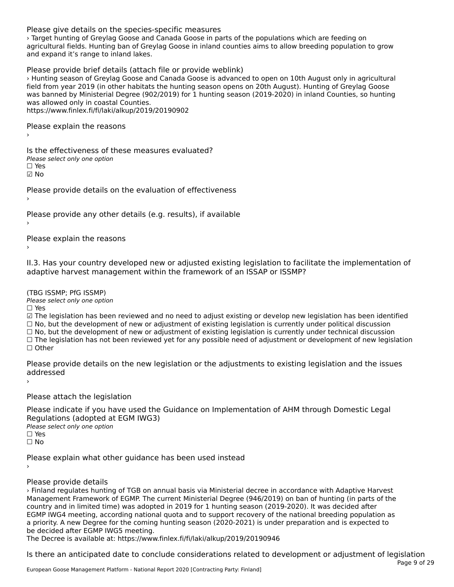#### Please give details on the species-specific measures

› Target hunting of Greylag Goose and Canada Goose in parts of the populations which are feeding on agricultural fields. Hunting ban of Greylag Goose in inland counties aims to allow breeding population to grow agricultural fields. Fiditing barror Gre<br>and expand it's range to inland lakes.

Please provide brief details (attach file or provide weblink) › Hunting season of Greylag Goose and Canada Goose is advanced to open on 10th August only in agricultural field from year 2019 (in other habitats the hunting season opens on 20th August). Hunting of Greylag Goose neld from year 2019 (in other nabitats the numing season opens on 20th August). Hunting or Greylag Goose<br>was banned by Ministerial Degree (902/2019) for 1 hunting season (2019-2020) in inland Counties, so hunting was panned by ministerial Degree (90<br>was allowed only in coastal Counties.

https://www.finlex.fi/fi/laki/alkup/2019/20190902

Please explain the reasons

Is the effectiveness of these measures evaluated? □ CITC CITCCLIVERESS OF C<br>Please select only one option ☑ No

Please provide details on the evaluation of effectiveness

Please provide any other details (e.g. results), if available

Please explain the reasons

II.3. Has your country developed new or adjusted existing legislation to facilitate the implementation of

(TBG ISSMP; PfG ISSMP)

Please select only one option ☐ Yes

☑ The legislation has been reviewed and no need to adjust existing or develop new legislation has been identified ⊠ The regislation has been reviewed and no need to adjust existing or develop new regislation has been ident<br>□ No, but the development of new or adjustment of existing legislation is currently under political discussion

□ No, but the development of new or adjustment of existing legislation is currently under political discussion<br>□ No, but the development of new or adjustment of existing legislation is currently under technical discussion

☐ The legislation has not been reviewed yet for any possible need of adjustment or development of new legislation ☐ Other

Please provide details on the new legislation or the adjustments to existing legislation and the issues ricase pro<br>seddesses d ›

Please attach the legislation

Please indicate if you have used the Guidance on Implementation of AHM through Domestic Legal Regulations (adopted at EGM IWG3) Please select only one option ☐ Yes☐ No

Please explain what other guidance has been used instead

Please provide details

› Finland regulates hunting of TGB on annual basis via Ministerial decree in accordance with Adaptive Harvest Management Framework of EGMP. The current Ministerial Degree (946/2019) on ban of hunting (in parts of the country and in limited time) was adopted in 2019 for 1 hunting season (2019-2020). It was decided after EGMP IWG4 meeting, according national quota and to support recovery of the national breeding population as Lown two-rifleeding, according haddled and to support recovery of the haddled bleeding population and intervention of the coming hunting season (2020-2021) is under preparation and is expected to be decided after EGMP IWG5 meeting.

The Decree is available at: https://www.finlex.fi/fi/laki/alkup/2019/20190946

Is there an anticipated date to conclude considerations related to development or adjustment of legislation Page 9 of 29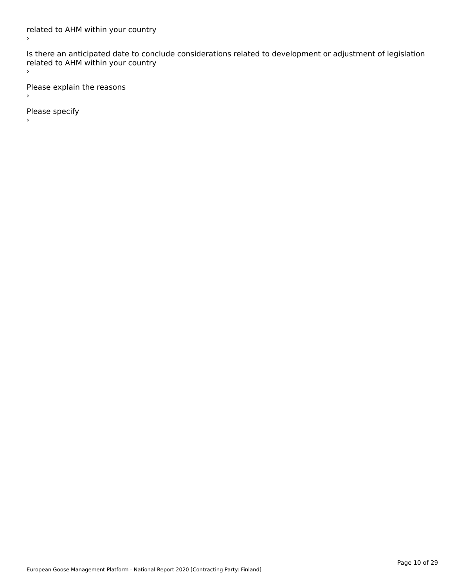Is there an anticipated date to conclude considerations related to development or adjustment of legislation related to Arm within your country

Please explain the reasons

Please specify

 $\,$ 

 $\bar{\mathbf{y}}$ 

European Goose Management Platform - National Report 2020 [Contracting Party: Finland]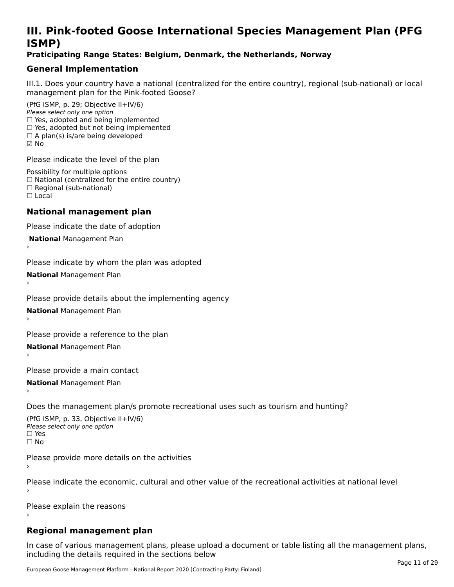# **III. Pink-footed Goose International Species Management Plan (PFG**III. FIIIN-IUULEU GUUSE IIILEI II**atiunai Species Management Fian (FTG**<br>ISMD)

#### **Praticipating Range States: Belgium, Denmark, the Netherlands, Norway**

# **General Implementation**

III.1. Does your country have a national (centralized for the entire country), regional (sub-national) or local

(PfG ISMP, p. 29; Objective II+IV/6) Please select only one option *riease select only one option*<br>□ Yes, adopted and being implemented  $\Box$  res, adopted and being implemented<br> $\Box$  Yes, adopted but not being implemented  $\Box$  A plan(s) is/are being developed ☑ No

Please indicate the level of the plan

Possibility for multiple options rossibility for multiple options<br>□ National (centralized for the entire country) □ National (centralized io<br>□ Regional (sub-national) ☐ Local

#### **National management plan**

Please indicate the date of adoption

 **National** Management Plan

›

Please indicate by whom the plan was adopted

**National** Management Plan ›

Please provide details about the implementing agency

**National** Management Plan ›

Please provide a reference to the plan

**National** Management Plan ›

Please provide a main contact

**National** Management Plan ›

Does the management plan/s promote recreational uses such as tourism and hunting?

(PfG ISMP, p. 33, Objective II+IV/6) Please select only one optionPlease select only one option  $\square$  Yes ☐ No

Please provide more details on the activities

Please indicate the economic, cultural and other value of the recreational activities at national level

Please explain the reasons

#### **Regional management plan**

In case of various management plans, please upload a document or table listing all the management plans, $\frac{1}{2}$  case of various management plans, please uploa including the details required in the sections below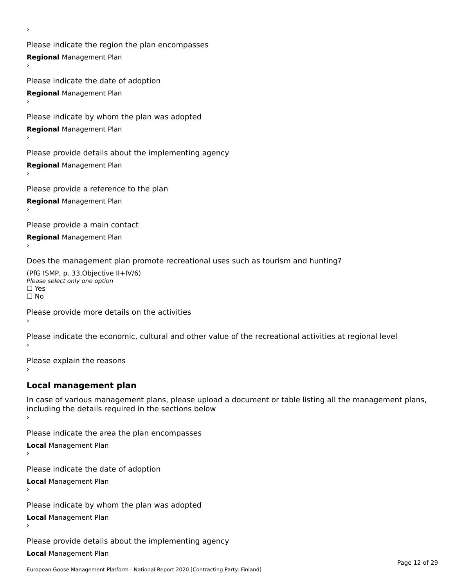Please indicate the region the plan encompasses **Regional** Management Plan

Please indicate the date of adoption **Regional** Management Plan ›

Please indicate by whom the plan was adopted

**Regional** Management Plan

›

Please provide details about the implementing agency

**Regional** Management Plan

Please provide a reference to the plan

**Regional** Management Plan

Please provide a main contact

**Regional** Management Plan

Does the management plan promote recreational uses such as tourism and hunting?

(PfG ISMP, p. 33,Objective II+IV/6) ∩∩ וויוכו פון<br>Please select only one option<br>□ Yes □ Yes<br>□ No

Please provide more details on the activities

Please indicate the economic, cultural and other value of the recreational activities at regional level

Please explain the reasons ›

### **Local management plan**

In case of various management plans, please upload a document or table listing all the management plans, In case of various management plans, please uploa<br>including the details required in the sections below

Please indicate the area the plan encompasses

**Local** Management Plan

Please indicate the date of adoption

**Local** Management Plan›

Please indicate by whom the plan was adopted

**Local** Management Plan

Please provide details about the implementing agency

**Local** Management Plan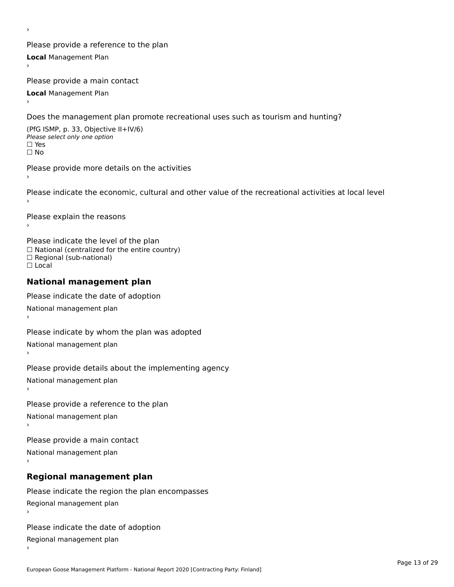Please provide a reference to the plan **Local** Management Plan

Please provide a main contact

**Local** Management Plan

›

Does the management plan promote recreational uses such as tourism and hunting?

(PfG ISMP, p. 33, Objective II+IV/6) Please select only one option☐ Yes☐ No

Please provide more details on the activities

Please indicate the economic, cultural and other value of the recreational activities at local level

Please explain the reasons ›

Please indicate the level of the plan ∩ease marcate the lever of the plan<br>□ National (centralized for the entire country) □ National (centralized io<br>□ Regional (sub-national) ☐ Local

#### **National management plan**

Please indicate the date of adoption National management plan

Please indicate by whom the plan was adopted National management plan ›

Please provide details about the implementing agency

National management plan

Please provide a reference to the plan

National management plan

Please provide a main contact

National management plan

# **Regional management plan**

Please indicate the region the plan encompasses Regional management plan

Please indicate the date of adoption

Regional management plan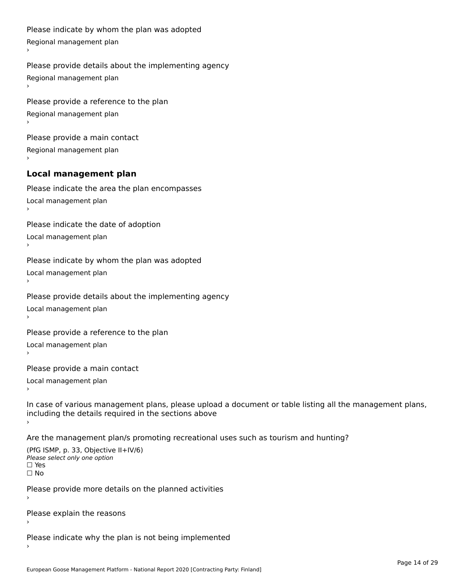```
Please indicate by whom the plan was adopted Regional management plan
Please provide details about the implementing agency Regional management plan
Please provide a reference to the plan Regional management plan
Please provide a main contact Regional management plan
Local management plan
Please indicate the area the plan encompasses Local management plan›Please indicate the date of adoption Local management plan١,
Please indicate by whom the plan was adopted Local management plan›Please provide details about the implementing agency Local management plan١,
Please provide a reference to the plan Local management plan›Please provide a main contact Local management plan١,
In case of various management plans, please upload a document or table listing all the management plans,in case or various management plans, please upload
including the details required in the sections above
```
Are the management plan/s promoting recreational uses such as tourism and hunting?

```
(PfG ISMP, p. 33, Objective II+IV/6)
Please select only one option☐ Yes☐ No
```
Please provide more details on the planned activities

Please explain the reasons›

Please indicate why the plan is not being implemented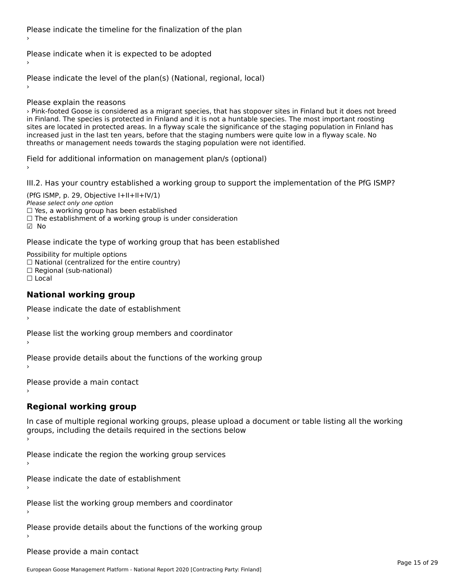Please indicate the timeline for the finalization of the plan

Please indicate when it is expected to be adopted

Please indicate the level of the plan(s) (National, regional, local)

Please explain the reasons

› Pink-footed Goose is considered as a migrant species, that has stopover sites in Finland but it does not breed in Finland. The species is protected in Finland and it is not a huntable species. The most important roosting nt rimand. The species is protected in rimand and it is not a nuntable species. The most important roosting<br>sites are located in protected areas. In a flyway scale the significance of the staging population in Finland has sites are located in protected areas. In a hyway scale the significance or the staging population in infiant<br>increased just in the last ten years, before that the staging numbers were quite low in a flyway scale. No increased just in the last ten years, before that the staging numbers were quite low<br>threaths or management needs towards the staging population were not identified.

Field for additional information on management plan/s (optional)

III.2. Has your country established a working group to support the implementation of the PfG ISMP?

(PfG ISMP, p. 29, Objective  $I+II+II+IV/1$ ) Please select only one option riease select only one option<br>□ Yes, a working group has been established □ Tes, a working group has been established<br>□ The establishment of a working group is under consideration ☑ No

Please indicate the type of working group that has been established

Possibility for multiple options ™assibility for multiple options<br>□ National (centralized for the entire country) □ Regional (sub-national) ☐ Local

#### **National working group**

Please indicate the date of establishment›

Please list the working group members and coordinator ›

Please provide details about the functions of the working group ›

Please provide a main contact ›

# **Regional working group**

In case of multiple regional working groups, please upload a document or table listing all the working groups, including the actums required in the sections below

Please indicate the region the working group services ›

Please indicate the date of establishment ›

Please list the working group members and coordinator ›

Please provide details about the functions of the working group ›

Please provide a main contact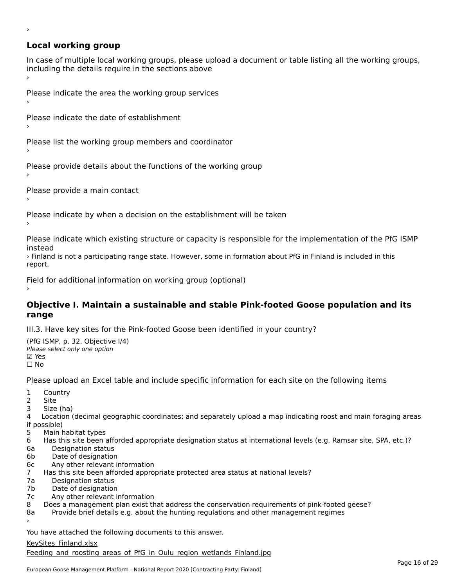# **Local working group**

›

In case of multiple local working groups, please upload a document or table listing all the working groups, in case of multiple local working groups, please up ›

Please indicate the area the working group services ›

Please indicate the date of establishment ›

Please list the working group members and coordinator ›

Please provide details about the functions of the working group ›

Please provide a main contact ›

Please indicate by when a decision on the establishment will be taken

Please indicate which existing structure or capacity is responsible for the implementation of the PfG ISMP

› Finland is not a participating range state. However, some in formation about PfG in Finland is included in this report.report.

Field for additional information on working group (optional)

#### **Objective I. Maintain a sustainable and stable Pink-footed Goose population and its range**range

III.3. Have key sites for the Pink-footed Goose been identified in your country?

(PfG ISMP, p. 32, Objective I/4) (110 15111 , p. 52, Objective<br>Please select only one option ⊠ Yes<br>□ No

Please upload an Excel table and include specific information for each site on the following items

- $1 \quad \alpha$
- 2 Site
- 2 Site<br>3 Size (ha)

د حدد una<br>4 Location (decimal geographic coordinates; and separately upload a map indicating roost and main foraging areas 4 Location<br>if possible)

- 5 Main habitat types
- 6 Has this site been afforded appropriate designation status at international levels (e.g. Ramsar site, SPA, etc.)? 6. Bestweetter status
- 
- 6a Designation status<br>6b Date of designation
- 6c Any other relevant information
- 7 Has this site been afforded appropriate protected area status at national levels? 7a Designation status
- 7a Designation status<br>7b Date of designation
- 
- 7c Any other relevant information
- 8 Does a management plan exist that address the conservation requirements of pink-footed geese?

8a Provide brief details e.g. about the hunting regulations and other management regimes ›

You have attached the following documents to this answer.

#### [KeySites\\_Finland.xlsx](http://aewa-ort.ort-production.linode.unep-wcmc.org/answers/2657486/documents/1566)

**Expense Enterthance Section**<br>Feeding and roosting areas of PfG in Oulu region wetlands Finland.jpg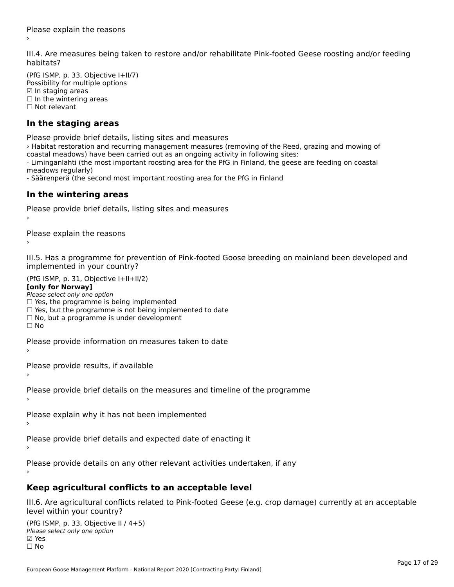III.4. Are measures being taken to restore and/or rehabilitate Pink-footed Geese roosting and/or feeding

(PfG ISMP, p. 33, Objective I+II/7) Possibility for multiple options ☑ In staging areas $\boxtimes$  In staging areas □ in staging areas<br>□ In the wintering areas □ in the winter

# **In the staging areas**

Please provide brief details, listing sites and measures

› Habitat restoration and recurring management measures (removing of the Reed, grazing and mowing of coastal meadows) have been carried out as an ongoing activity in following sites: - Liminganlahti (the most important roosting area for the PfG in Finland, the geese are feeding on coastal - Limingamanti (the<br>meadows regularly)

- Säärenperä (the second most important roosting area for the PfG in Finland

#### **In the wintering areas**

Please provide brief details, listing sites and measures ›

Please explain the reasons

III.5. Has a programme for prevention of Pink-footed Goose breeding on mainland been developed and im.5. Tias a programme for pre<br>implemented in your country?

 $(PC I CMP, p. 31, Ok)$ **[only for Norway]**

#### [only for Norway]

**Lonny for Norway1**<br>Please select only one option riease select only one option<br>□ Yes, the programme is being implemented □ Tes, the programme is being implemented<br>□ Yes, but the programme is not being implemented to date

□ Tes, but the programme is not being implem<br>□ No, but a programme is under development

Please provide information on measures taken to date

Please provide results, if available

Please provide brief details on the measures and timeline of the programme›

Please explain why it has not been implemented›

Please provide brief details and expected date of enacting it

Please provide details on any other relevant activities undertaken, if any

### **Keep agricultural conflicts to an acceptable level**

III.6. Are agricultural conflicts related to Pink-footed Geese (e.g. crop damage) currently at an acceptable

(PfG ISMP, p. 33, Objective II / 4+5)Please select only one option ☑ Yes⊠ Yes<br>□ No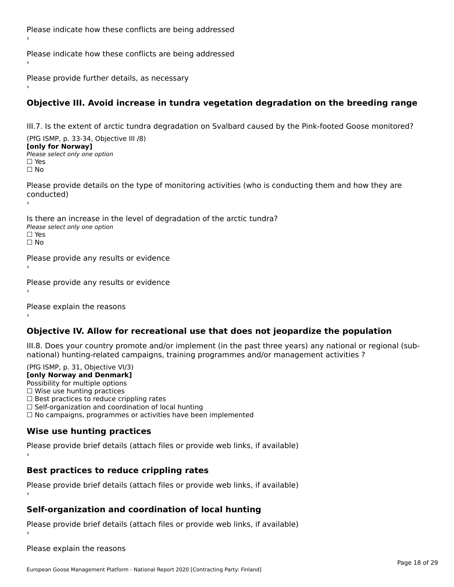Please indicate how these conflicts are being addressed›

Please indicate how these conflicts are being addressed

Please provide further details, as necessary ›

### **Objective III. Avoid increase in tundra vegetation degradation on the breeding range**

III.7. Is the extent of arctic tundra degradation on Svalbard caused by the Pink-footed Goose monitored?

(PfG ISMP, p. 33-34, Objective III /8) **[only for Norway] Please select only one option** 

ים וכ∍<br>⊡ No

Please provide details on the type of monitoring activities (who is conducting them and how they are riease prov ›

Is there an increase in the level of degradation of the arctic tundra? Please select only one optionriease<br>□ Yes □ Yes<br>□ No

Please provide any results or evidence

Please provide any results or evidence

Please explain the reasons›

#### **Objective IV. Allow for recreational use that does not jeopardize the population**

III.8. Does your country promote and/or implement (in the past three years) any national or regional (subnno. Does your country promote and/or implement (in the past timee years) any national or<br>national) hunting-related campaigns, training programmes and/or management activities ?

 $(DEG | GMP = 31, Ob)$ ective  $V(12)$ **[only Norway and Denmark]**

Possibility for multiple options

Possibility for multiple options  $\Box$  Wise use hunting practices

 $\Box$  wise use numing practices<br> $\Box$  Best practices to reduce crippling rates

□ Best practices to reduce crippinig rates<br>□ Self-organization and coordination of local hunting

□ Sen-organization and coordination or local nunting<br>□ No campaigns, programmes or activities have been implemented

# **Wise use hunting practices**

Please provide brief details (attach files or provide web links, if available) ›

# **Best practices to reduce crippling rates**

Please provide brief details (attach files or provide web links, if available)

# **Self-organization and coordination of local hunting**

Please provide brief details (attach files or provide web links, if available)

Please explain the reasons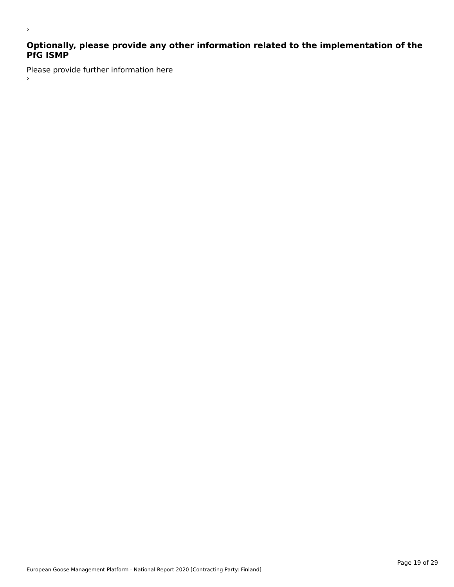# **Optionally, please provide any other information related to the implementation of the PfG ISMP**

Please provide further information here ›

›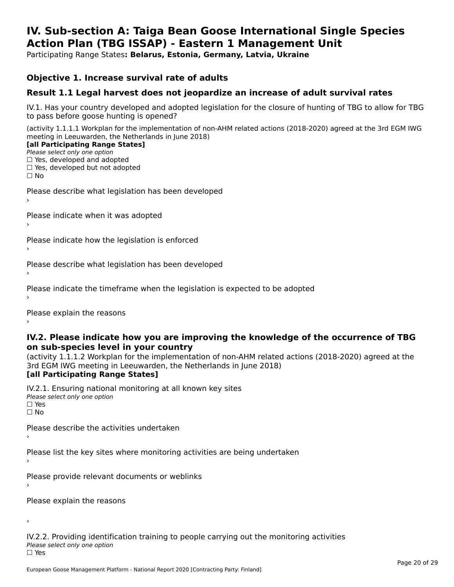#### **IV. Sub-section A: Taiga Bean Goose International Single Species Action Plan (TBG ISSAP) - Eastern 1 Management UnitAction Plan (TBG ISSAP) - Eastern 1 Management Unit**

Participating Range States**: Belarus, Estonia, Germany, Latvia, Ukraine** 

#### **Objective 1. Increase survival rate of adults**

### **Result 1.1 Legal harvest does not jeopardize an increase of adult survival rates**

IV.1. Has your country developed and adopted legislation for the closure of hunting of TBG to allow for TBG IV.1. Thas your country developed and add<br>to pass before goose hunting is opened?

(activity 1.1.1.1 Workplan for the implementation of non-AHM related actions (2018-2020) agreed at the 3rd EGM IWG meeting in Leeuwarden, the Netherlands in June 2018) **[all Participating Range States]**

#### [all Participating Range States]

Please select only one option ☐ Yes, developed and adopted

☐ Yes, developed but not adopted

 $\Box$  ies, developed but not adopted

Please describe what legislation has been developed

Please indicate when it was adopted

Please indicate how the legislation is enforced

Please describe what legislation has been developed

Please indicate the timeframe when the legislation is expected to be adopted

Please explain the reasons

#### **IV.2. Please indicate how you are improving the knowledge of the occurrence of TBG on sub-species level in your country**on sub-species level in your country

on sub-species fever in your country<br>(activity 1.1.1.2 Workplan for the implementation of non-AHM related actions (2018-2020) agreed at the **Brd EGM IWG meeting in Leeuwarden, the Netherlands in June 2018)** 

#### [all Participating Range States]

IV.2.1. Ensuring national monitoring at all known key sites <del>■ Western Chroning</del> Hational<br>Please select only one option  $\Box$  Yes ☐ No

Please describe the activities undertaken

Please list the key sites where monitoring activities are being undertaken

Please provide relevant documents or weblinks

Please explain the reasons

›

IV.2.2. Providing identification training to people carrying out the monitoring activities <del>■ Western Fortung</del> Recrement<br>Please select only one option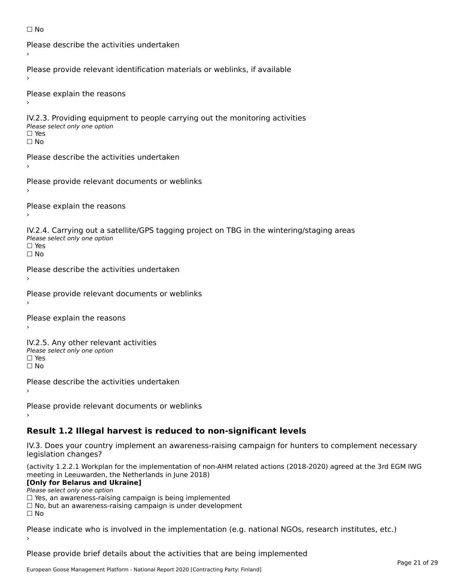```
☐ No
```

```
Please describe the activities undertaken›Please provide relevant identification materials or weblinks, if available
Please explain the reasons
IV.2.3. Providing equipment to people carrying out the monitoring activities
Please select only one option
☐ Yes□ Yes<br>□ No
Please describe the activities undertaken›Please provide relevant documents or weblinks
Please explain the reasons
IV.2.4. Carrying out a satellite/GPS tagging project on TBG in the wintering/staging areas
<del>∩</del><br>Please select only one option
□ Yes<br>□ No
Please describe the activities undertaken›Please provide relevant documents or weblinks
Please explain the reasons
IV.2.5. Any other relevant activities
Please select only one option
☐ Yes□ Yes<br>□ No
Please describe the activities undertaken›Please provide relevant documents or weblinks
Result 1.2 Illegal harvest is reduced to non-significant levels
```
IV.3. Does your country implement an awareness-raising campaign for hunters to complement necessary rv.5. Does your court<br>legislation changes?

(activity 1.2.2.1 Workplan for the implementation of non-AHM related actions (2018-2020) agreed at the 3rd EGM IWG meeting in Leeuwarden, the Netherlands in June 2018)

#### **[Only for Belarus and Ukraine]**

**LOTTLY TOT Detailed and O**<br>Please select only one option

riease select only one option<br>□ Yes, an awareness-raising campaign is being implemented<br>□ Yes, an awareness-raising campaign is under development

□ No, but an awareness-raising campaign is under development<br>□ N。

Please indicate who is involved in the implementation (e.g. national NGOs, research institutes, etc.)

Please provide brief details about the activities that are being implemented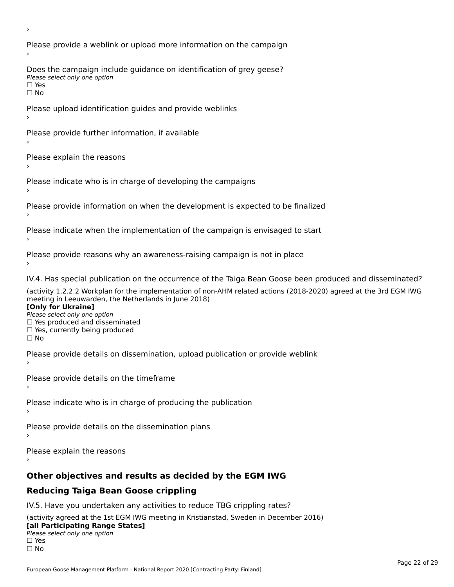Please provide a weblink or upload more information on the campaign Does the campaign include guidance on identification of grey geese? **DOCS** the campaign mer<br>Please select only one option □ Yes<br>□ No Please upload identification guides and provide weblinks Please provide further information, if available Please explain the reasons Please indicate who is in charge of developing the campaigns Please provide information on when the development is expected to be finalized Please indicate when the implementation of the campaign is envisaged to start Please provide reasons why an awareness-raising campaign is not in place IV.4. Has special publication on the occurrence of the Taiga Bean Goose been produced and disseminated? (activity 1.2.2.2 Workplan for the implementation of non-AHM related actions (2018-2020) agreed at the 3rd EGM IWG **[Only for Ukraine] □ Yes produced and disseminated**<br>Please select only one option  $\Box$  ies produced and disseminated  $\Box$  ies, currently being produced Please provide details on dissemination, upload publication or provide weblink Please provide details on the timeframe Please indicate who is in charge of producing the publication Please provide details on the dissemination plans Please explain the reasons **Other objectives and results as decided by the EGM IWG Reducing Taiga Bean Goose crippling** IV.5. Have you undertaken any activities to reduce TBG crippling rates? (activity agreed at the 1st EGM IWG meeting in Kristianstad, Sweden in December 2016)

#### **[all Participating Range States]**[all Participating Range States]

**Lan T articipating Range**<br>Please select only one option

□ Yes<br>□ No

›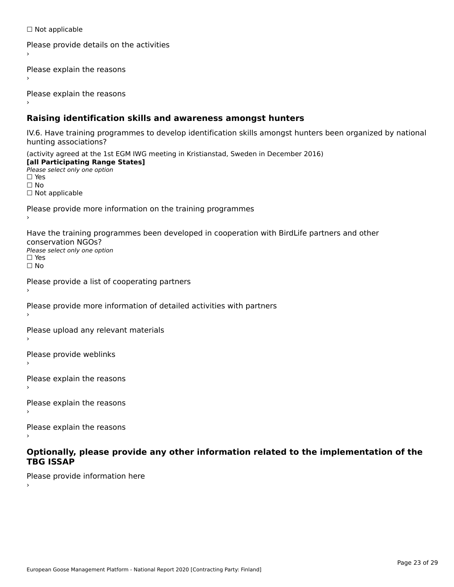☐ Not applicable

```
Please provide details on the activities
```
Please explain the reasons

Please explain the reasons

### **Raising identification skills and awareness amongst hunters**

IV.6. Have training programmes to develop identification skills amongst hunters been organized by national rv.o. riave training pro<br>hunting associations?

(activity agreed at the 1st EGM IWG meeting in Kristianstad, Sweden in December 2016) **[all Participating Range States]**[all Participating Range States] **Lan Tarticipating Range**<br>Please select only one option ☐ Yes☐ No□ Not applicable

Please provide more information on the training programmes

Have the training programmes been developed in cooperation with BirdLife partners and other conservation NGOs?Please select only one option☐ Yes☐ No

```
Please provide a list of cooperating partners
```
Please provide more information of detailed activities with partners

Please upload any relevant materials

Please provide weblinks

Please explain the reasons

Please explain the reasons›

Please explain the reasons

#### **Optionally, please provide any other information related to the implementation of the TBG ISSAPTBG ISSAP**

Please provide information here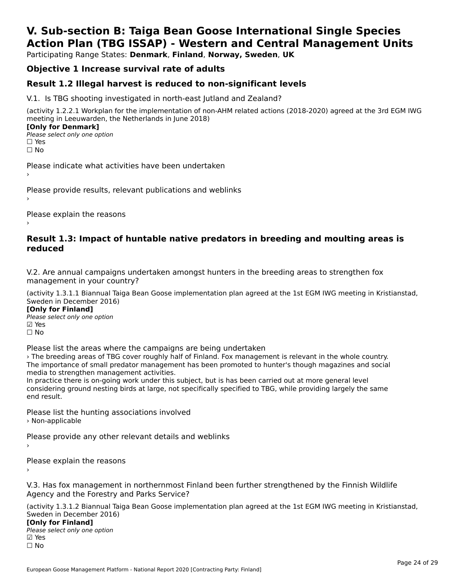# **V. Sub-section B: Taiga Bean Goose International Single SpeciesAction Plan (TBG ISSAP) - Western and Central Management Units**

Participating Range States: **Denmark**, **Finland**, **Norway, Sweden**, **UK**

# **Objective 1 Increase survival rate of adults**

### **Result 1.2 Illegal harvest is reduced to non-significant levels**

V.1. Is TBG shooting investigated in north-east Jutland and Zealand?

(activity 1.2.2.1 Workplan for the implementation of non-AHM related actions (2018-2020) agreed at the 3rd EGM IWG meeting in Leeuwarden, the Netherlands in June 2018) **[Only for Denmark]** 

**LOTTLY TOT DETITIONS**<br>Please select only one option *riease*<br>□ Yes<br>□ No

Please indicate what activities have been undertaken›

Please provide results, relevant publications and weblinks ›

Please explain the reasons

#### **Result 1.3: Impact of huntable native predators in breeding and moulting areas is reduced**

V.2. Are annual campaigns undertaken amongst hunters in the breeding areas to strengthen fox v.z. Are annual campaigns und<br>management in your country?

(activity 1.3.1.1 Biannual Taiga Bean Goose implementation plan agreed at the 1st EGM IWG meeting in Kristianstad, Sweden in December 2016)

**[Only for Finland]** Please select only one optionriease<br>□ Yes ⊠ Yes<br>□ No

Please list the areas where the campaigns are being undertaken

› The breeding areas of TBG cover roughly half of Finland. Fox management is relevant in the whole country.The breeding areas of the cover foughly han of filliand. Fox management is relevant in the whole country.<br>The importance of small predator management has been promoted to hunter's though magazines and social me importance or sman predator management<br>media to strengthen management activities.

Ineula to strengthen management activities.<br>In practice there is on-going work under this subject, but is has been carried out at more general level In practice there is on-going work under this subject, but is has been carried out at more general lever<br>considering ground nesting birds at large, not specifically specified to TBG, while providing largely the same

Please list the hunting associations involved › Non-applicable

Please provide any other relevant details and weblinks ›

Please explain the reasons

V.3. Has fox management in northernmost Finland been further strengthened by the Finnish Wildlife Agency and the Forestry and Parks Service?Agency and the Forestry and Parks Service?

(activity 1.3.1.2 Biannual Taiga Bean Goose implementation plan agreed at the 1st EGM IWG meeting in Kristianstad, Sweden in December 2016) **[Only for Finland]**

**□ 1990 Different Company**<br>Please select only one option ☐ No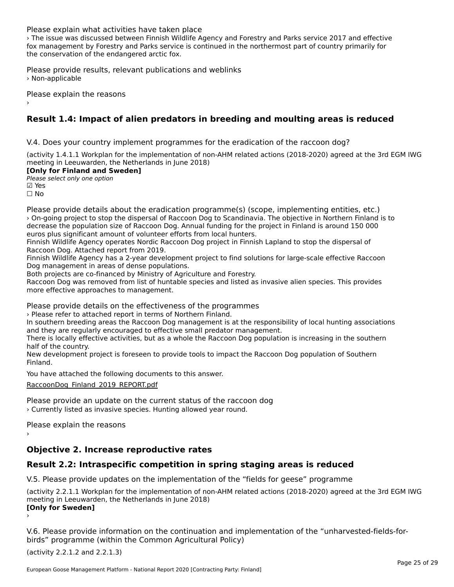Please explain what activities have taken place

› The issue was discussed between Finnish Wildlife Agency and Forestry and Parks service 2017 and effective fox management by Forestry and Parks service is continued in the northermost part of country primarily for the conservation of the endangered arctic fox.

Please provide results, relevant publications and weblinks › Non-applicable

Please explain the reasons

# **Result 1.4: Impact of alien predators in breeding and moulting areas is reduced**

V.4. Does your country implement programmes for the eradication of the raccoon dog?

(activity 1.4.1.1 Workplan for the implementation of non-AHM related actions (2018-2020) agreed at the 3rd EGM IWG meeting in Leeuwarden, the Netherlands in June 2018)

#### **[Only for Finland and Sweden]**

**Please select only one option** 

**☑ Yes**<br>□ No

Please provide details about the eradication programme(s) (scope, implementing entities, etc.) › On-going project to stop the dispersal of Raccoon Dog to Scandinavia. The objective in Northern Finland is to decrease the population size of Raccoon Dog. Annual funding for the project in Finland is around 150 000 euros plus significant amount of volunteer efforts from local hunters.

Finnish Wildlife Agency operates Nordic Raccoon Dog project in Finnish Lapland to stop the dispersal of Raccoon Dog. Attached report from 2019.

Naccoon Dog. Attached report noni 2013.<br>Finnish Wildlife Agency has a 2-year development project to find solutions for large-scale effective Raccoon

Both projects are co-financed by Ministry of Agriculture and Forestry.

Both projects are co-imanced by ministry or Agriculture and Forestry.<br>Raccoon Dog was removed from list of huntable species and listed as invasive alien species. This provides more effective approaches to management.

Please provide details on the effectiveness of the programmes

riease provide details on the enectiveness of the progress of the progress.

In southern breeding areas the Raccoon Dog management is at the responsibility of local hunting associations<br>In southern breeding areas the Raccoon Dog management is at the responsibility of local hunting associations and they are regularly encouraged to effective small predator management.

and they are regularly encouraged to effective sinall predator management.<br>There is locally effective activities, but as a whole the Raccoon Dog population is increasing in the southern mere is locally ene

nan or the country.<br>New development project is foreseen to provide tools to impact the Raccoon Dog population of Southern<br>Finland

You have attached the following documents to this answer.

[RaccoonDog\\_Finland\\_2019\\_REPORT.pdf](http://aewa-ort.ort-production.linode.unep-wcmc.org/answers/2848058/documents/1990)

Please provide an update on the current status of the raccoon dog › Currently listed as invasive species. Hunting allowed year round.

Please explain the reasons

# **Objective 2. Increase reproductive rates**

# **Result 2.2: Intraspecific competition in spring staging areas is reduced**

V.5. Please provide updates on the implementation of the "fields for geese" programme

(activity 2.2.1.1 Workplan for the implementation of non-AHM related actions (2018-2020) agreed at the 3rd EGM IWG **[Only for Sweden]** ›

V.6. Please provide information on the continuation and implementation of the "unharvested-fields-forbirds" programme (within the Common Agricultural Policy)

(activity 2.2.1.2 and 2.2.1.3)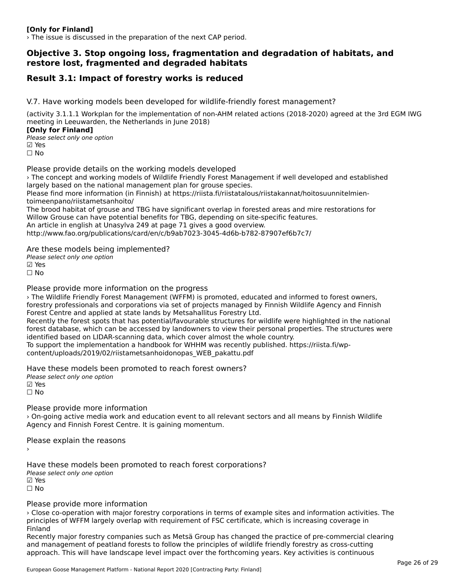#### **[Only for Finland]**

› The issue is discussed in the preparation of the next CAP period.

#### **Objective 3. Stop ongoing loss, fragmentation and degradation of habitats, and restore lost, fragmented and degraded habitats**

# **Result 3.1: Impact of forestry works is reduced**

V.7. Have working models been developed for wildlife-friendly forest management?

(activity 3.1.1.1 Workplan for the implementation of non-AHM related actions (2018-2020) agreed at the 3rd EGM IWG meeting in Leeuwarden, the Netherlands in June 2018)

**[Only for Finland]** Please select only one option

☑ Yes☐ No

Please provide details on the working models developed

› The concept and working models of Wildlife Friendly Forest Management if well developed and established The concept and working models of whalle intendity rorest manage<br>largely based on the national management plan for grouse species. Please find more information (in Finnish) at https://riista.fi/riistatalous/riistakannat/hoitosuunnitelmien-

toimeen muutti toimeen panoittametsaan kuningan kuningan kuningan kuningan kuningan kuningan kuningan kuningan<br>Kuningan kuningan kuningan kuningan kuningan kuningan kuningan kuningan kuningan kuningan kuningan kuningan ku toimeenpano/riistametsanhoito/<br>The brood habitat of grouse and TBG have significant overlap in forested areas and mire restorations for

The brood habitat or grouse and TBG have significant overlap in forested areas and mini-<br>Willow Grouse can have potential benefits for TBG, depending on site-specific features.

An article in english at Unasylva 249 at page 71 gives a good overview.

http://www.fao.org/publications/card/en/c/b9ab7023-3045-4d6b-b782-87907ef6b7c7/

Are these models being implemented?

∧ne these models being<br>Please select only one option ☐ No

Please provide more information on the progress

› The Wildlife Friendly Forest Management (WFFM) is promoted, educated and informed to forest owners, forestry professionals and corporations via set of projects managed by Finnish Wildlife Agency and Finnish forest y professionals and corporations via set or projects managed by<br>Forest Centre and applied at state lands by Metsahallitus Forestry Ltd. rorest centre and applied at state lands by Metsanaliitus Forestry Etd.<br>Recently the forest spots that has potential/favourable structures for wildlife were highlighted in the national Recentry the forest spots that has potential/lavourable structures for whallie were highlighted in the hational<br>forest database, which can be accessed by landowners to view their personal properties. The structures were identified based on LIDAR-scanning data, which cover almost the whole country.

To support the implementation a handbook for WHHM was recently published. https://riista.fi/wpcontent/uploads/2019/02/riistametsanhoidonopas\_WEB\_pakattu.pdf

Have these models been promoted to reach forest owners? Please select only one option ☑ Yes

☐ No

Please provide more information

› On-going active media work and education event to all relevant sectors and all means by Finnish Wildlife Agency and Finnish Forest Centre. It is gaining momentum.

Please explain the reasons ›

Have these models been promoted to reach forest corporations? ∩ave these models bee<br>Please select only one option ⊠ Yes ☐ No

Please provide more information

› Close co-operation with major forestry corporations in terms of example sites and information activities. The principles of WFFM largely overlap with requirement of FSC certificate, which is increasing coverage in Finland

rmianu<br>Recently major forestry companies such as Metsä Group has changed the practice of pre-commercial clearing Recently major forestry companies such as metta droup has changed the practice of pre-commercial cross-cutting<br>and management of peatland forests to follow the principles of wildlife friendly forestry as cross-cutting approach. This will have landscape level impact over the forthcoming years. Key activities is continuous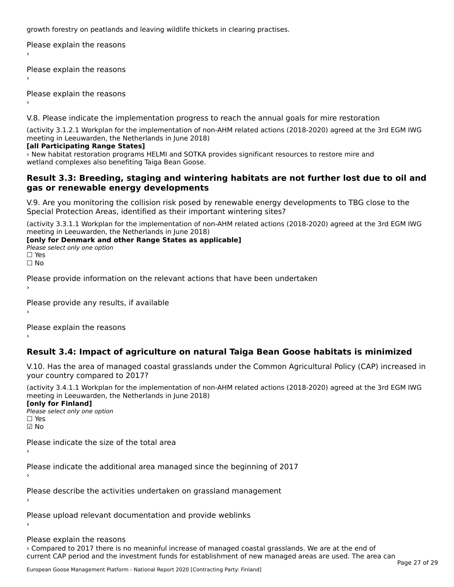growth forestry on peatlands and leaving wildlife thickets in clearing practises.

Please explain the reasons ›

Please explain the reasons

Please explain the reasons

V.8. Please indicate the implementation progress to reach the annual goals for mire restoration

(activity 3.1.2.1 Workplan for the implementation of non-AHM related actions (2018-2020) agreed at the 3rd EGM IWG

#### **[all Participating Range States]**

› New habitat restoration programs HELMI and SOTKA provides significant resources to restore mire and wetland complexes also benefiting Taiga Bean Goose.

#### **Result 3.3: Breeding, staging and wintering habitats are not further lost due to oil and gas or renewable energy developments**gas or renewable energy developments

V.9. Are you monitoring the collision risk posed by renewable energy developments to TBG close to the Special Protection Areas, identified as their important wintering sites?

(activity 3.3.1.1 Workplan for the implementation of non-AHM related actions (2018-2020) agreed at the 3rd EGM IWG meeting in Leeuwarden, the Netherlands in June 2018)

**[only for Denmark and other Range States as applicable]**

**Please select only one option** □ Yes<br>□ No

Please provide information on the relevant actions that have been undertaken ›

Please provide any results, if available

Please explain the reasons

# **Result 3.4: Impact of agriculture on natural Taiga Bean Goose habitats is minimized**

V.10. Has the area of managed coastal grasslands under the Common Agricultural Policy (CAP) increased in

(activity 3.4.1.1 Workplan for the implementation of non-AHM related actions (2018-2020) agreed at the 3rd EGM IWG meeting in Leeuwarden, the Netherlands in June 2018) **[only for Finland]**

[only for Finland] **□ Please select only one option** 

☑ No

Please indicate the size of the total area›

Please indicate the additional area managed since the beginning of 2017

Please describe the activities undertaken on grassland management

Please upload relevant documentation and provide weblinks

Please explain the reasons › Compared to 2017 there is no meaninful increase of managed coastal grasslands. We are at the end of current CAP period and the investment funds for establishment of new managed areas are used. The area can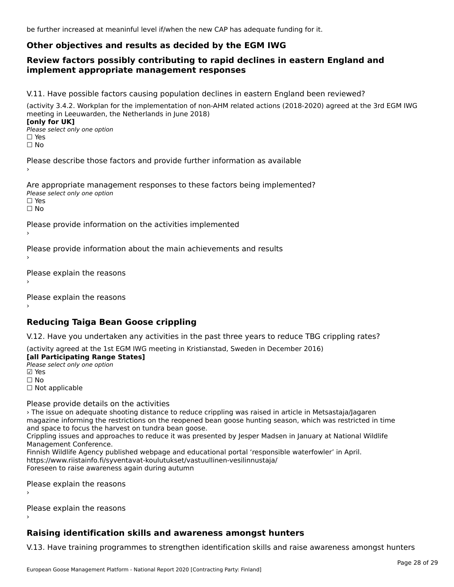be further increased at meaninful level if/when the new CAP has adequate funding for it.

# **Other objectives and results as decided by the EGM IWG**

#### **Review factors possibly contributing to rapid declines in eastern England and implement appropriate management responses**implement appropriate management responses

V.11. Have possible factors causing population declines in eastern England been reviewed?

(activity 3.4.2. Workplan for the implementation of non-AHM related actions (2018-2020) agreed at the 3rd EGM IWG meeting in Leeuwarden, the Netherlands in June 2018) **[only for UK]**

**Please select only one option<br>Please select only one option** □ Yes<br>□ No

Please describe those factors and provide further information as available

Are appropriate management responses to these factors being implemented? ne appropriace manage.<br>Please select only one option

ים וכ<br>⊡ No

Please provide information on the activities implemented

Please provide information about the main achievements and results

Please explain the reasons

Please explain the reasons

### **Reducing Taiga Bean Goose crippling**

V.12. Have you undertaken any activities in the past three years to reduce TBG crippling rates?

(activity agreed at the 1st EGM IWG meeting in Kristianstad, Sweden in December 2016)

**[all Participating Range States] Fair T articipating Range**<br>Please select only one option ☐ No

□ Not applicable

Please provide details on the activities

› The issue on adequate shooting distance to reduce crippling was raised in article in Metsastaja/Jagaren The issue on adequate shooting distance to reduce cripping was raised in article in Metsastaja/jagarent magazine informing the restrictions on the reopened bean goose. Nunting season, which was restricted in time and space to focus the harvest on tundra bean goose.

and space to rocus the harvest on tunura bean goose.<br>Crippling issues and approaches to reduce it was presented by Jesper Madsen in January at National Wildlife Cripping issues and appro<br>Management Conference.

Finnish Wildlife Agency published webpage and educational portal 'responsible waterfowler' in April. https://www.riistainfo.fi/syventavat-koulutukset/vastuullinen-vesilinnustaja/ Foreseen to raise awareness again during autumn

Please explain the reasons

Please explain the reasons›

# **Raising identification skills and awareness amongst hunters**

V.13. Have training programmes to strengthen identification skills and raise awareness amongst hunters